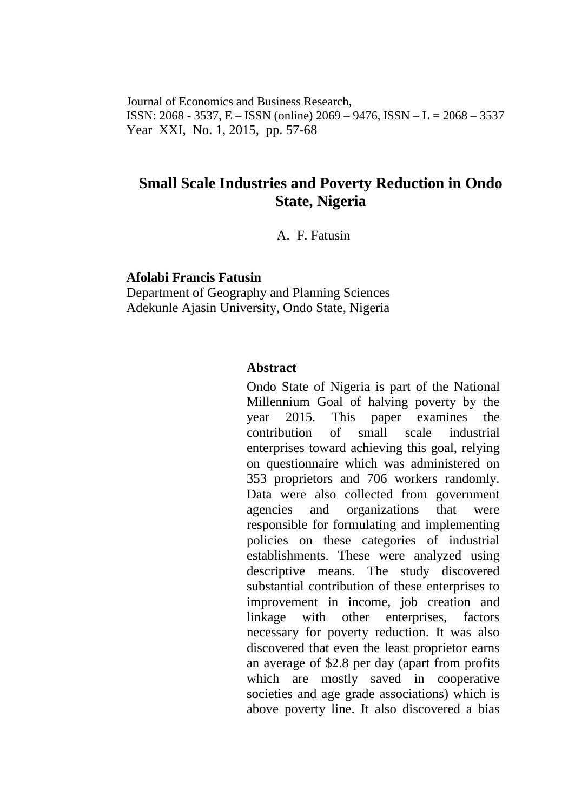Journal of Economics and Business Research, ISSN: 2068 - 3537, E – ISSN (online) 2069 – 9476, ISSN – L = 2068 – 3537 Year XXI, No. 1, 2015, pp. 57-68

# **Small Scale Industries and Poverty Reduction in Ondo State, Nigeria**

A. F. Fatusin

#### **Afolabi Francis Fatusin**

Department of Geography and Planning Sciences Adekunle Ajasin University, Ondo State, Nigeria

## **Abstract**

Ondo State of Nigeria is part of the National Millennium Goal of halving poverty by the year 2015. This paper examines the contribution of small scale industrial enterprises toward achieving this goal, relying on questionnaire which was administered on 353 proprietors and 706 workers randomly. Data were also collected from government agencies and organizations that were responsible for formulating and implementing policies on these categories of industrial establishments. These were analyzed using descriptive means. The study discovered substantial contribution of these enterprises to improvement in income, job creation and linkage with other enterprises, factors necessary for poverty reduction. It was also discovered that even the least proprietor earns an average of \$2.8 per day (apart from profits which are mostly saved in cooperative societies and age grade associations) which is above poverty line. It also discovered a bias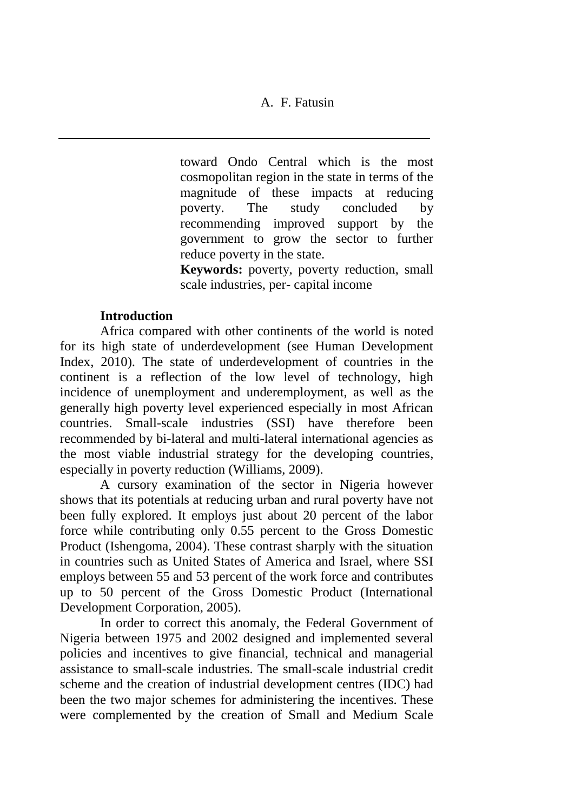toward Ondo Central which is the most cosmopolitan region in the state in terms of the magnitude of these impacts at reducing poverty. The study concluded by recommending improved support by the government to grow the sector to further reduce poverty in the state.

**Keywords:** poverty, poverty reduction, small scale industries, per- capital income

## **Introduction**

Africa compared with other continents of the world is noted for its high state of underdevelopment (see Human Development Index, 2010). The state of underdevelopment of countries in the continent is a reflection of the low level of technology, high incidence of unemployment and underemployment, as well as the generally high poverty level experienced especially in most African countries. Small-scale industries (SSI) have therefore been recommended by bi-lateral and multi-lateral international agencies as the most viable industrial strategy for the developing countries, especially in poverty reduction (Williams, 2009).

A cursory examination of the sector in Nigeria however shows that its potentials at reducing urban and rural poverty have not been fully explored. It employs just about 20 percent of the labor force while contributing only 0.55 percent to the Gross Domestic Product (Ishengoma, 2004). These contrast sharply with the situation in countries such as United States of America and Israel, where SSI employs between 55 and 53 percent of the work force and contributes up to 50 percent of the Gross Domestic Product (International Development Corporation, 2005).

In order to correct this anomaly, the Federal Government of Nigeria between 1975 and 2002 designed and implemented several policies and incentives to give financial, technical and managerial assistance to small-scale industries. The small-scale industrial credit scheme and the creation of industrial development centres (IDC) had been the two major schemes for administering the incentives. These were complemented by the creation of Small and Medium Scale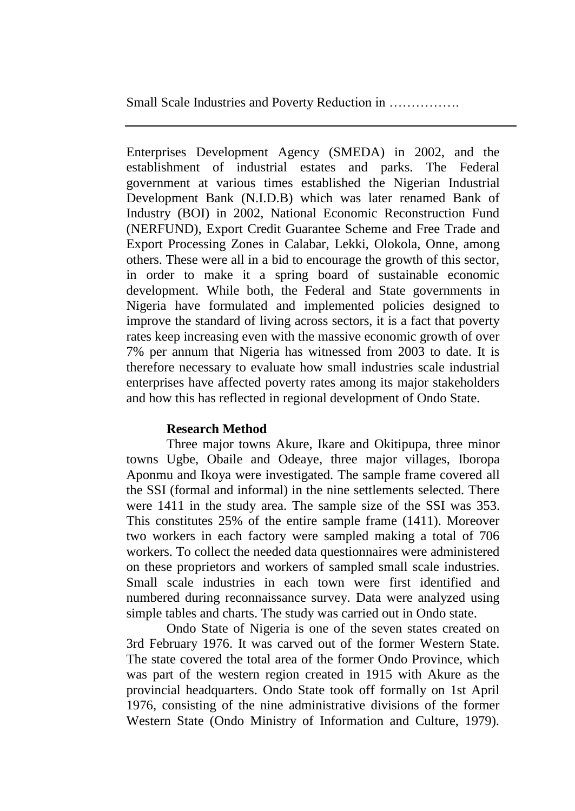Enterprises Development Agency (SMEDA) in 2002, and the establishment of industrial estates and parks. The Federal government at various times established the Nigerian Industrial Development Bank (N.I.D.B) which was later renamed Bank of Industry (BOI) in 2002, National Economic Reconstruction Fund (NERFUND), Export Credit Guarantee Scheme and Free Trade and Export Processing Zones in Calabar, Lekki, Olokola, Onne, among others. These were all in a bid to encourage the growth of this sector, in order to make it a spring board of sustainable economic development. While both, the Federal and State governments in Nigeria have formulated and implemented policies designed to improve the standard of living across sectors, it is a fact that poverty rates keep increasing even with the massive economic growth of over 7% per annum that Nigeria has witnessed from 2003 to date. It is therefore necessary to evaluate how small industries scale industrial enterprises have affected poverty rates among its major stakeholders and how this has reflected in regional development of Ondo State.

# **Research Method**

Three major towns Akure, Ikare and Okitipupa, three minor towns Ugbe, Obaile and Odeaye, three major villages, Iboropa Aponmu and Ikoya were investigated. The sample frame covered all the SSI (formal and informal) in the nine settlements selected. There were 1411 in the study area. The sample size of the SSI was 353. This constitutes 25% of the entire sample frame (1411). Moreover two workers in each factory were sampled making a total of 706 workers. To collect the needed data questionnaires were administered on these proprietors and workers of sampled small scale industries. Small scale industries in each town were first identified and numbered during reconnaissance survey. Data were analyzed using simple tables and charts. The study was carried out in Ondo state.

Ondo State of Nigeria is one of the seven states created on 3rd February 1976. It was carved out of the former Western State. The state covered the total area of the former Ondo Province, which was part of the western region created in 1915 with Akure as the provincial headquarters. Ondo State took off formally on 1st April 1976, consisting of the nine administrative divisions of the former Western State (Ondo Ministry of Information and Culture, 1979).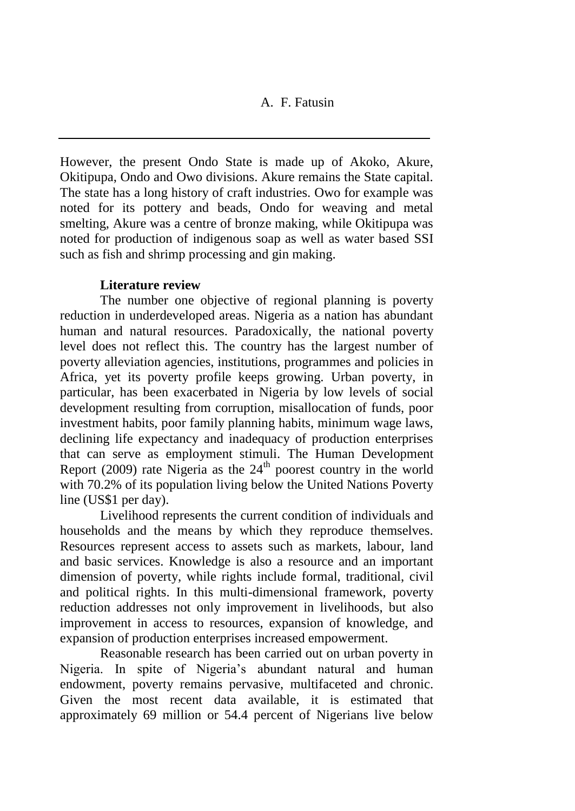However, the present Ondo State is made up of Akoko, Akure, Okitipupa, Ondo and Owo divisions. Akure remains the State capital. The state has a long history of craft industries. Owo for example was noted for its pottery and beads, Ondo for weaving and metal smelting, Akure was a centre of bronze making, while Okitipupa was noted for production of indigenous soap as well as water based SSI such as fish and shrimp processing and gin making.

## **Literature review**

The number one objective of regional planning is poverty reduction in underdeveloped areas. Nigeria as a nation has abundant human and natural resources. Paradoxically, the national poverty level does not reflect this. The country has the largest number of poverty alleviation agencies, institutions, programmes and policies in Africa, yet its poverty profile keeps growing. Urban poverty, in particular, has been exacerbated in Nigeria by low levels of social development resulting from corruption, misallocation of funds, poor investment habits, poor family planning habits, minimum wage laws, declining life expectancy and inadequacy of production enterprises that can serve as employment stimuli. The Human Development Report (2009) rate Nigeria as the  $24<sup>th</sup>$  poorest country in the world with 70.2% of its population living below the United Nations Poverty line (US\$1 per day).

Livelihood represents the current condition of individuals and households and the means by which they reproduce themselves. Resources represent access to assets such as markets, labour, land and basic services. Knowledge is also a resource and an important dimension of poverty, while rights include formal, traditional, civil and political rights. In this multi-dimensional framework, poverty reduction addresses not only improvement in livelihoods, but also improvement in access to resources, expansion of knowledge, and expansion of production enterprises increased empowerment.

Reasonable research has been carried out on urban poverty in Nigeria. In spite of Nigeria's abundant natural and human endowment, poverty remains pervasive, multifaceted and chronic. Given the most recent data available, it is estimated that approximately 69 million or 54.4 percent of Nigerians live below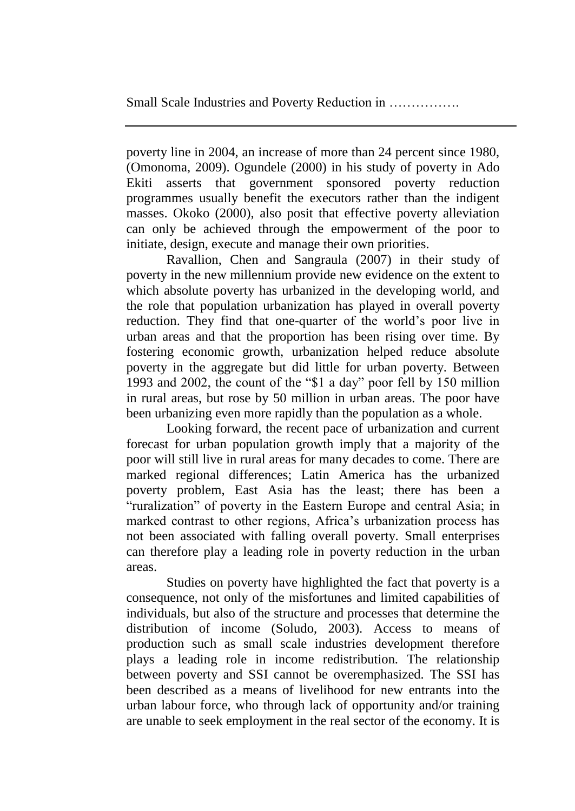poverty line in 2004, an increase of more than 24 percent since 1980, (Omonoma, 2009). Ogundele (2000) in his study of poverty in Ado Ekiti asserts that government sponsored poverty reduction programmes usually benefit the executors rather than the indigent masses. Okoko (2000), also posit that effective poverty alleviation can only be achieved through the empowerment of the poor to initiate, design, execute and manage their own priorities.

Ravallion, Chen and Sangraula (2007) in their study of poverty in the new millennium provide new evidence on the extent to which absolute poverty has urbanized in the developing world, and the role that population urbanization has played in overall poverty reduction. They find that one-quarter of the world's poor live in urban areas and that the proportion has been rising over time. By fostering economic growth, urbanization helped reduce absolute poverty in the aggregate but did little for urban poverty. Between 1993 and 2002, the count of the "\$1 a day" poor fell by 150 million in rural areas, but rose by 50 million in urban areas. The poor have been urbanizing even more rapidly than the population as a whole.

Looking forward, the recent pace of urbanization and current forecast for urban population growth imply that a majority of the poor will still live in rural areas for many decades to come. There are marked regional differences; Latin America has the urbanized poverty problem, East Asia has the least; there has been a "ruralization" of poverty in the Eastern Europe and central Asia; in marked contrast to other regions, Africa's urbanization process has not been associated with falling overall poverty. Small enterprises can therefore play a leading role in poverty reduction in the urban areas.

Studies on poverty have highlighted the fact that poverty is a consequence, not only of the misfortunes and limited capabilities of individuals, but also of the structure and processes that determine the distribution of income (Soludo, 2003). Access to means of production such as small scale industries development therefore plays a leading role in income redistribution. The relationship between poverty and SSI cannot be overemphasized. The SSI has been described as a means of livelihood for new entrants into the urban labour force, who through lack of opportunity and/or training are unable to seek employment in the real sector of the economy. It is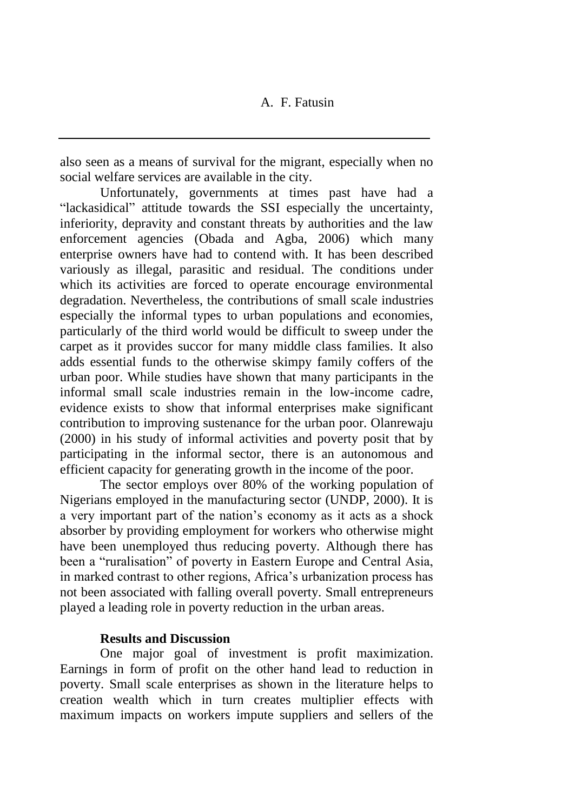also seen as a means of survival for the migrant, especially when no social welfare services are available in the city.

Unfortunately, governments at times past have had a "lackasidical" attitude towards the SSI especially the uncertainty, inferiority, depravity and constant threats by authorities and the law enforcement agencies (Obada and Agba, 2006) which many enterprise owners have had to contend with. It has been described variously as illegal, parasitic and residual. The conditions under which its activities are forced to operate encourage environmental degradation. Nevertheless, the contributions of small scale industries especially the informal types to urban populations and economies, particularly of the third world would be difficult to sweep under the carpet as it provides succor for many middle class families. It also adds essential funds to the otherwise skimpy family coffers of the urban poor. While studies have shown that many participants in the informal small scale industries remain in the low-income cadre, evidence exists to show that informal enterprises make significant contribution to improving sustenance for the urban poor. Olanrewaju (2000) in his study of informal activities and poverty posit that by participating in the informal sector, there is an autonomous and efficient capacity for generating growth in the income of the poor.

The sector employs over 80% of the working population of Nigerians employed in the manufacturing sector (UNDP, 2000). It is a very important part of the nation's economy as it acts as a shock absorber by providing employment for workers who otherwise might have been unemployed thus reducing poverty. Although there has been a "ruralisation" of poverty in Eastern Europe and Central Asia, in marked contrast to other regions, Africa's urbanization process has not been associated with falling overall poverty. Small entrepreneurs played a leading role in poverty reduction in the urban areas.

#### **Results and Discussion**

One major goal of investment is profit maximization. Earnings in form of profit on the other hand lead to reduction in poverty. Small scale enterprises as shown in the literature helps to creation wealth which in turn creates multiplier effects with maximum impacts on workers impute suppliers and sellers of the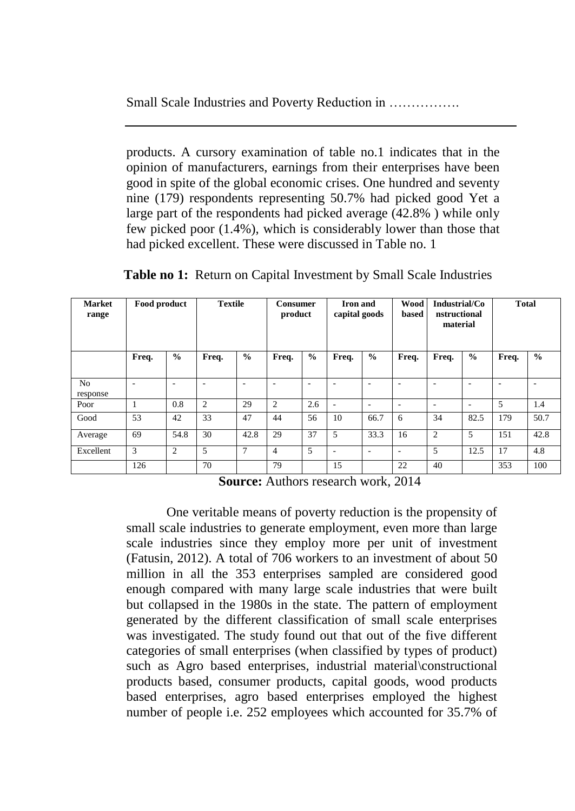products. A cursory examination of table no.1 indicates that in the opinion of manufacturers, earnings from their enterprises have been good in spite of the global economic crises. One hundred and seventy nine (179) respondents representing 50.7% had picked good Yet a large part of the respondents had picked average (42.8% ) while only few picked poor (1.4%), which is considerably lower than those that had picked excellent. These were discussed in Table no. 1

| <b>Market</b><br>range     | Food product |                | <b>Textile</b> |               | Consumer<br>product |               | <b>Iron</b> and<br>capital goods |                          | <b>Wood</b><br>based     | Industrial/Co<br>nstructional<br>material |                          | <b>Total</b> |               |
|----------------------------|--------------|----------------|----------------|---------------|---------------------|---------------|----------------------------------|--------------------------|--------------------------|-------------------------------------------|--------------------------|--------------|---------------|
|                            | Freq.        | $\frac{0}{0}$  | Freq.          | $\frac{0}{0}$ | Freq.               | $\frac{0}{0}$ | Freq.                            | $\frac{0}{0}$            | Freq.                    | Freq.                                     | $\frac{0}{0}$            | Freq.        | $\frac{0}{0}$ |
| N <sub>o</sub><br>response | ۰            | ۰              | ٠              | ۰             | ۰                   | ۰             |                                  | ۰                        | ۰                        | $\overline{\phantom{a}}$                  | -                        | ٠            | ۰             |
| Poor                       |              | 0.8            | $\overline{2}$ | 29            | 2                   | 2.6           | $\overline{\phantom{a}}$         | $\overline{\phantom{a}}$ | ۰                        | ٠                                         | $\overline{\phantom{a}}$ | 5            | 1.4           |
| Good                       | 53           | 42             | 33             | 47            | 44                  | 56            | 10                               | 66.7                     | 6                        | 34                                        | 82.5                     | 179          | 50.7          |
| Average                    | 69           | 54.8           | 30             | 42.8          | 29                  | 37            | 5                                | 33.3                     | 16                       | $\overline{2}$                            | 5                        | 151          | 42.8          |
| Excellent                  | 3            | $\overline{2}$ | 5              | 7             | $\overline{4}$      | 5             | $\overline{\phantom{a}}$         | ٠                        | $\overline{\phantom{a}}$ | 5                                         | 12.5                     | 17           | 4.8           |
|                            | 126          |                | 70             |               | 79                  |               | 15                               |                          | 22                       | 40                                        |                          | 353          | 100           |

**Table no 1:** Return on Capital Investment by Small Scale Industries

**Source:** Authors research work, 2014

One veritable means of poverty reduction is the propensity of small scale industries to generate employment, even more than large scale industries since they employ more per unit of investment (Fatusin, 2012). A total of 706 workers to an investment of about 50 million in all the 353 enterprises sampled are considered good enough compared with many large scale industries that were built but collapsed in the 1980s in the state. The pattern of employment generated by the different classification of small scale enterprises was investigated. The study found out that out of the five different categories of small enterprises (when classified by types of product) such as Agro based enterprises, industrial material constructional products based, consumer products, capital goods, wood products based enterprises, agro based enterprises employed the highest number of people i.e. 252 employees which accounted for 35.7% of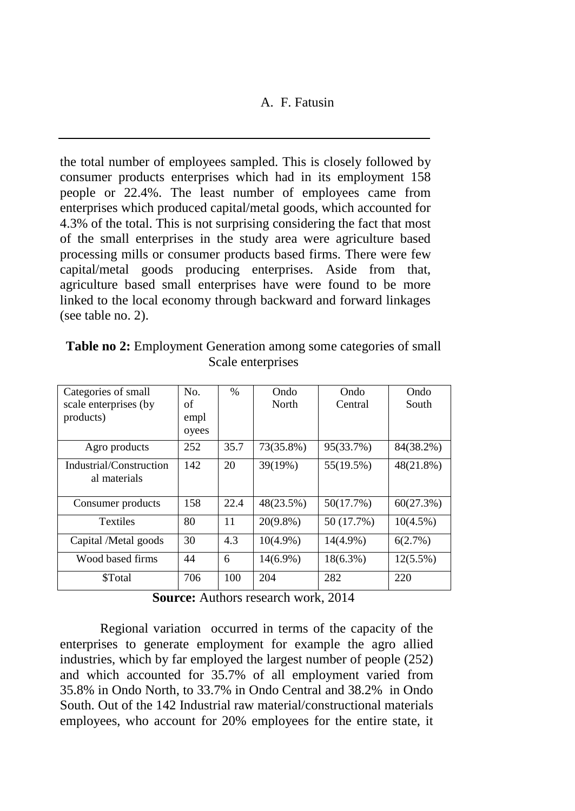the total number of employees sampled. This is closely followed by consumer products enterprises which had in its employment 158 people or 22.4%. The least number of employees came from enterprises which produced capital/metal goods, which accounted for 4.3% of the total. This is not surprising considering the fact that most of the small enterprises in the study area were agriculture based processing mills or consumer products based firms. There were few capital/metal goods producing enterprises. Aside from that, agriculture based small enterprises have were found to be more linked to the local economy through backward and forward linkages (see table no. 2).

| Categories of small                     | No.   | $\%$ | Ondo                   | Ondo        | Ondo        |
|-----------------------------------------|-------|------|------------------------|-------------|-------------|
| scale enterprises (by                   | of    |      | North                  | Central     | South       |
| products)                               | empl  |      |                        |             |             |
|                                         | oyees |      |                        |             |             |
| Agro products                           | 252   | 35.7 | 73(35.8%)<br>95(33.7%) |             | 84(38.2%)   |
| Industrial/Construction<br>al materials | 142   | 20   | 39(19%)                | 55(19.5%)   | 48(21.8%)   |
| Consumer products                       | 158   | 22.4 | 48(23.5%)              | 50(17.7%)   | 60(27.3%)   |
| <b>Textiles</b>                         | 80    | 11   | $20(9.8\%)$            | 50 (17.7%)  | $10(4.5\%)$ |
| Capital /Metal goods                    | 30    | 4.3  | $10(4.9\%)$            | 14(4.9%)    | 6(2.7%)     |
| Wood based firms                        | 44    | 6    | $14(6.9\%)$            | $18(6.3\%)$ | $12(5.5\%)$ |
| <b>STotal</b>                           | 706   | 100  | 204                    | 282         | 220         |

**Table no 2:** Employment Generation among some categories of small Scale enterprises

**Source:** Authors research work, 2014

Regional variation occurred in terms of the capacity of the enterprises to generate employment for example the agro allied industries, which by far employed the largest number of people (252) and which accounted for 35.7% of all employment varied from 35.8% in Ondo North, to 33.7% in Ondo Central and 38.2% in Ondo South. Out of the 142 Industrial raw material/constructional materials employees, who account for 20% employees for the entire state, it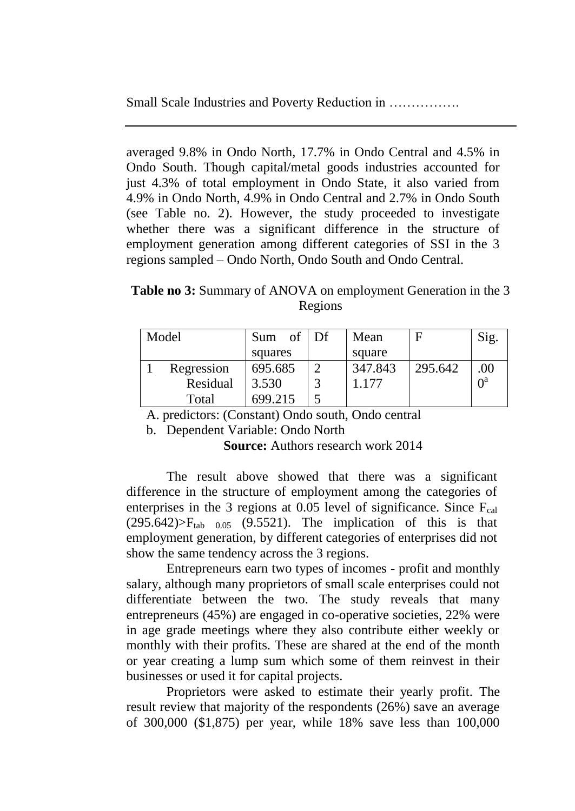averaged 9.8% in Ondo North, 17.7% in Ondo Central and 4.5% in Ondo South. Though capital/metal goods industries accounted for just 4.3% of total employment in Ondo State, it also varied from 4.9% in Ondo North, 4.9% in Ondo Central and 2.7% in Ondo South (see Table no. 2). However, the study proceeded to investigate whether there was a significant difference in the structure of employment generation among different categories of SSI in the 3 regions sampled – Ondo North, Ondo South and Ondo Central.

**Table no 3:** Summary of ANOVA on employment Generation in the 3 Regions

| Model |            | Sum     | of $\overline{Df}$ | Mean    |         | Sig.                  |
|-------|------------|---------|--------------------|---------|---------|-----------------------|
|       |            | squares |                    | square  |         |                       |
|       | Regression | 695.685 |                    | 347.843 | 295.642 | .00                   |
|       | Residual   | 3.530   |                    | 1.177   |         | $\Omega$ <sup>a</sup> |
|       | Total      | 699.215 |                    |         |         |                       |

A. predictors: (Constant) Ondo south, Ondo central

b. Dependent Variable: Ondo North

**Source:** Authors research work 2014

The result above showed that there was a significant difference in the structure of employment among the categories of enterprises in the 3 regions at 0.05 level of significance. Since  $F_{cal}$  $(295.642)$  $\triangleright$ F<sub>tab 0.05</sub> (9.5521). The implication of this is that employment generation, by different categories of enterprises did not show the same tendency across the 3 regions.

Entrepreneurs earn two types of incomes - profit and monthly salary, although many proprietors of small scale enterprises could not differentiate between the two. The study reveals that many entrepreneurs (45%) are engaged in co-operative societies, 22% were in age grade meetings where they also contribute either weekly or monthly with their profits. These are shared at the end of the month or year creating a lump sum which some of them reinvest in their businesses or used it for capital projects.

Proprietors were asked to estimate their yearly profit. The result review that majority of the respondents (26%) save an average of 300,000 (\$1,875) per year, while 18% save less than 100,000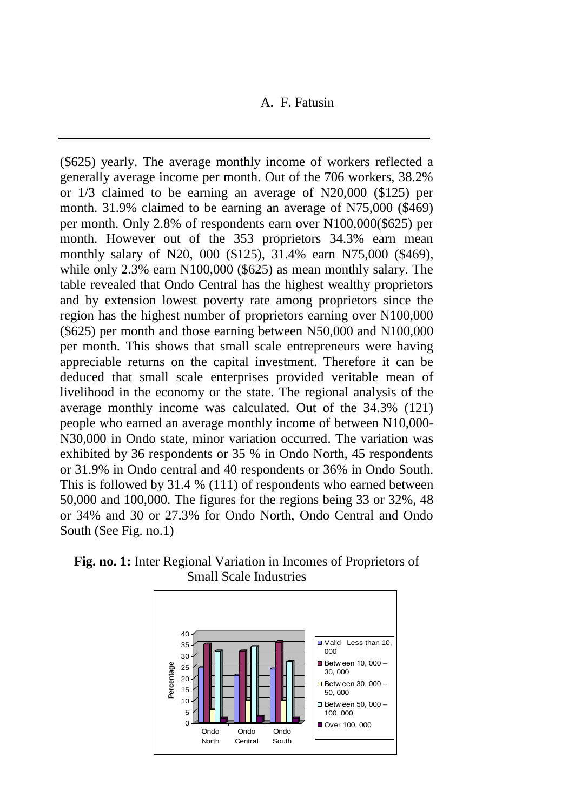(\$625) yearly. The average monthly income of workers reflected a generally average income per month. Out of the 706 workers, 38.2% or 1/3 claimed to be earning an average of N20,000 (\$125) per month. 31.9% claimed to be earning an average of N75,000 (\$469) per month. Only 2.8% of respondents earn over N100,000(\$625) per month. However out of the 353 proprietors 34.3% earn mean monthly salary of N20, 000 (\$125), 31.4% earn N75,000 (\$469), while only 2.3% earn N100,000 (\$625) as mean monthly salary. The table revealed that Ondo Central has the highest wealthy proprietors and by extension lowest poverty rate among proprietors since the region has the highest number of proprietors earning over N100,000 (\$625) per month and those earning between N50,000 and N100,000 per month. This shows that small scale entrepreneurs were having appreciable returns on the capital investment. Therefore it can be deduced that small scale enterprises provided veritable mean of livelihood in the economy or the state. The regional analysis of the average monthly income was calculated. Out of the 34.3% (121) people who earned an average monthly income of between N10,000- N30,000 in Ondo state, minor variation occurred. The variation was exhibited by 36 respondents or 35 % in Ondo North, 45 respondents or 31.9% in Ondo central and 40 respondents or 36% in Ondo South. This is followed by 31.4 % (111) of respondents who earned between 50,000 and 100,000. The figures for the regions being 33 or 32%, 48 or 34% and 30 or 27.3% for Ondo North, Ondo Central and Ondo South (See Fig. no.1)



**Fig. no. 1:** Inter Regional Variation in Incomes of Proprietors of Small Scale Industries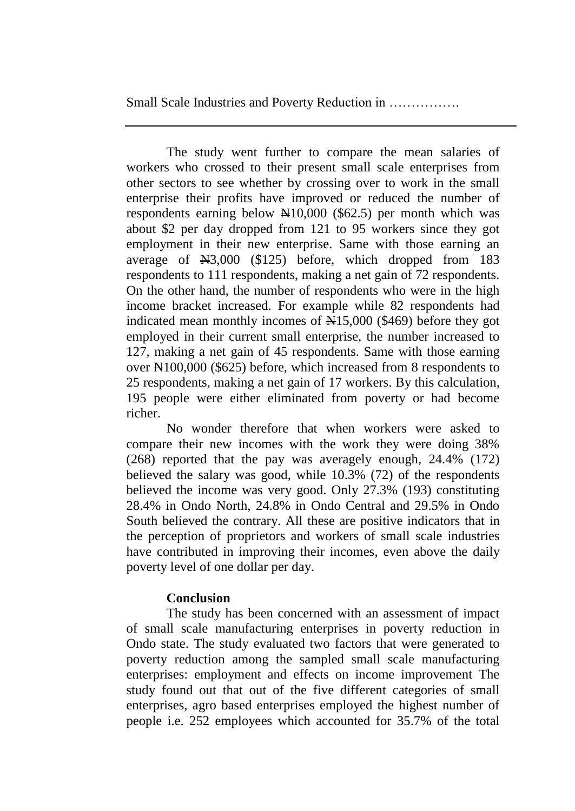The study went further to compare the mean salaries of workers who crossed to their present small scale enterprises from other sectors to see whether by crossing over to work in the small enterprise their profits have improved or reduced the number of respondents earning below  $\mathbb{H}10,000$  (\$62.5) per month which was about \$2 per day dropped from 121 to 95 workers since they got employment in their new enterprise. Same with those earning an average of N3,000 (\$125) before, which dropped from 183 respondents to 111 respondents, making a net gain of 72 respondents. On the other hand, the number of respondents who were in the high income bracket increased. For example while 82 respondents had indicated mean monthly incomes of  $\frac{1}{15,000}$  (\$469) before they got employed in their current small enterprise, the number increased to 127, making a net gain of 45 respondents. Same with those earning over  $\text{\#}100,000$  (\$625) before, which increased from 8 respondents to 25 respondents, making a net gain of 17 workers. By this calculation, 195 people were either eliminated from poverty or had become richer.

No wonder therefore that when workers were asked to compare their new incomes with the work they were doing 38% (268) reported that the pay was averagely enough, 24.4% (172) believed the salary was good, while 10.3% (72) of the respondents believed the income was very good. Only 27.3% (193) constituting 28.4% in Ondo North, 24.8% in Ondo Central and 29.5% in Ondo South believed the contrary. All these are positive indicators that in the perception of proprietors and workers of small scale industries have contributed in improving their incomes, even above the daily poverty level of one dollar per day.

# **Conclusion**

The study has been concerned with an assessment of impact of small scale manufacturing enterprises in poverty reduction in Ondo state. The study evaluated two factors that were generated to poverty reduction among the sampled small scale manufacturing enterprises: employment and effects on income improvement The study found out that out of the five different categories of small enterprises, agro based enterprises employed the highest number of people i.e. 252 employees which accounted for 35.7% of the total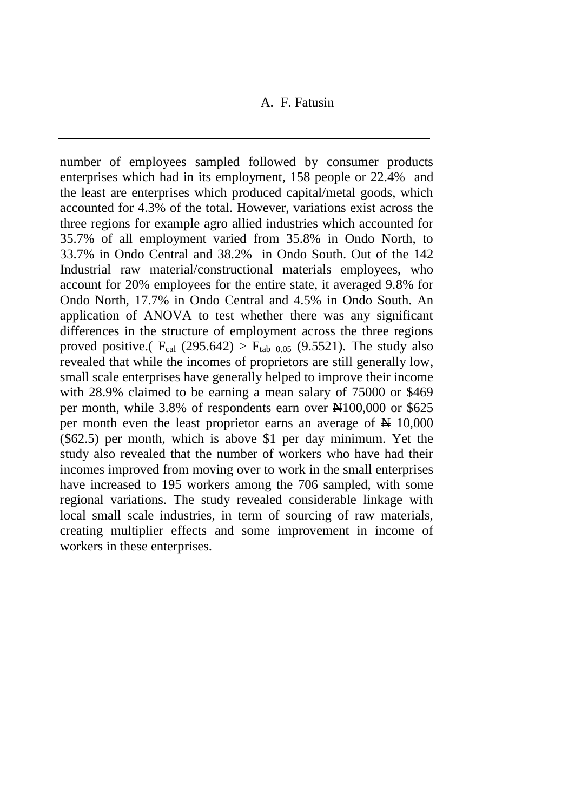number of employees sampled followed by consumer products enterprises which had in its employment, 158 people or 22.4% and the least are enterprises which produced capital/metal goods, which accounted for 4.3% of the total. However, variations exist across the three regions for example agro allied industries which accounted for 35.7% of all employment varied from 35.8% in Ondo North, to 33.7% in Ondo Central and 38.2% in Ondo South. Out of the 142 Industrial raw material/constructional materials employees, who account for 20% employees for the entire state, it averaged 9.8% for Ondo North, 17.7% in Ondo Central and 4.5% in Ondo South. An application of ANOVA to test whether there was any significant differences in the structure of employment across the three regions proved positive.(  $F_{cal}$  (295.642) >  $F_{tab,0.05}$  (9.5521). The study also revealed that while the incomes of proprietors are still generally low, small scale enterprises have generally helped to improve their income with 28.9% claimed to be earning a mean salary of 75000 or \$469 per month, while  $3.8\%$  of respondents earn over  $\text{\#100,000}$  or \$625 per month even the least proprietor earns an average of  $\cancel{\text{N}}$  10,000 (\$62.5) per month, which is above \$1 per day minimum. Yet the study also revealed that the number of workers who have had their incomes improved from moving over to work in the small enterprises have increased to 195 workers among the 706 sampled, with some regional variations. The study revealed considerable linkage with local small scale industries, in term of sourcing of raw materials, creating multiplier effects and some improvement in income of workers in these enterprises.